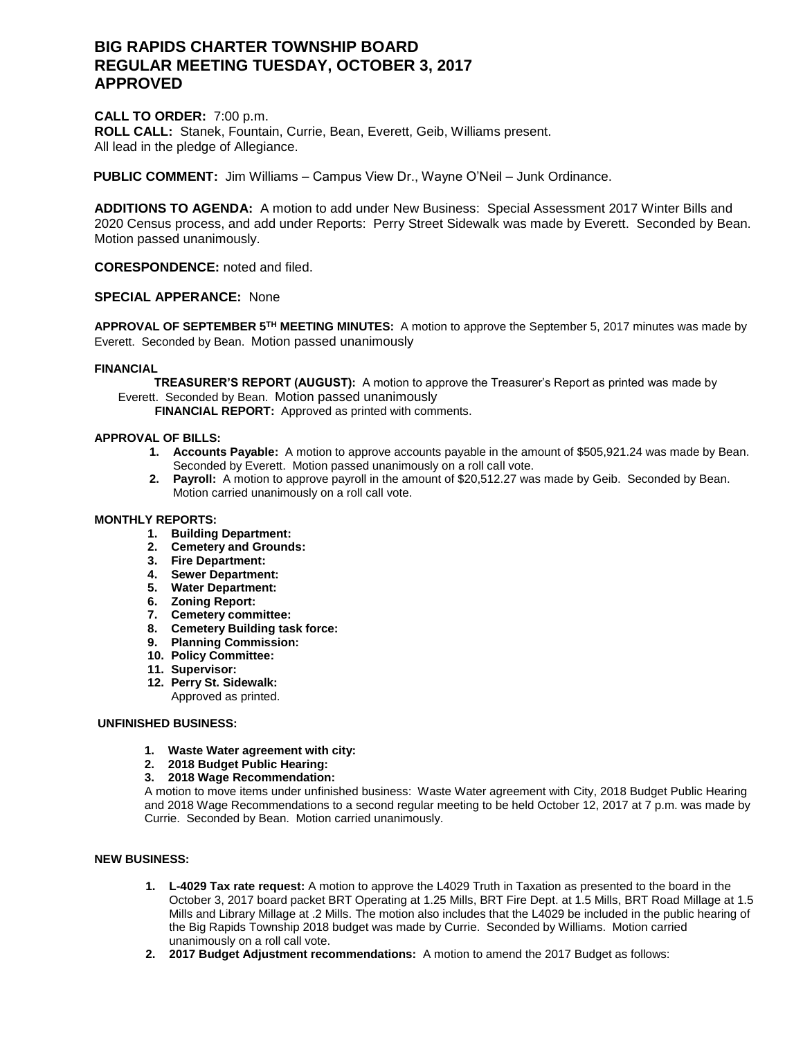# **BIG RAPIDS CHARTER TOWNSHIP BOARD REGULAR MEETING TUESDAY, OCTOBER 3, 2017 APPROVED**

**CALL TO ORDER:** 7:00 p.m. **ROLL CALL:** Stanek, Fountain, Currie, Bean, Everett, Geib, Williams present. All lead in the pledge of Allegiance.

**PUBLIC COMMENT:** Jim Williams – Campus View Dr., Wayne O'Neil – Junk Ordinance.

**ADDITIONS TO AGENDA:** A motion to add under New Business: Special Assessment 2017 Winter Bills and 2020 Census process, and add under Reports: Perry Street Sidewalk was made by Everett. Seconded by Bean. Motion passed unanimously.

**CORESPONDENCE:** noted and filed.

# **SPECIAL APPERANCE:** None

**APPROVAL OF SEPTEMBER 5TH MEETING MINUTES:** A motion to approve the September 5, 2017 minutes was made by Everett. Seconded by Bean. Motion passed unanimously

# **FINANCIAL**

 **TREASURER'S REPORT (AUGUST):** A motion to approve the Treasurer's Report as printed was made by Everett. Seconded by Bean. Motion passed unanimously

 **FINANCIAL REPORT:** Approved as printed with comments.

#### **APPROVAL OF BILLS:**

- **1. Accounts Payable:** A motion to approve accounts payable in the amount of \$505,921.24 was made by Bean. Seconded by Everett. Motion passed unanimously on a roll call vote.
- **2. Payroll:** A motion to approve payroll in the amount of \$20,512.27 was made by Geib. Seconded by Bean. Motion carried unanimously on a roll call vote.

## **MONTHLY REPORTS:**

- **1. Building Department:**
- **2. Cemetery and Grounds:**
- **3. Fire Department:**
- **4. Sewer Department:**
- **5. Water Department:**
- **6. Zoning Report:**
- **7. Cemetery committee:**
- **8. Cemetery Building task force:**
- **9. Planning Commission:**
- **10. Policy Committee:**
- **11. Supervisor:**
- **12. Perry St. Sidewalk:**
	- Approved as printed.

# **UNFINISHED BUSINESS:**

- **1. Waste Water agreement with city:**
- **2. 2018 Budget Public Hearing:**
- **3. 2018 Wage Recommendation:**

A motion to move items under unfinished business: Waste Water agreement with City, 2018 Budget Public Hearing and 2018 Wage Recommendations to a second regular meeting to be held October 12, 2017 at 7 p.m. was made by Currie. Seconded by Bean. Motion carried unanimously.

## **NEW BUSINESS:**

- **1. L-4029 Tax rate request:** A motion to approve the L4029 Truth in Taxation as presented to the board in the October 3, 2017 board packet BRT Operating at 1.25 Mills, BRT Fire Dept. at 1.5 Mills, BRT Road Millage at 1.5 Mills and Library Millage at .2 Mills. The motion also includes that the L4029 be included in the public hearing of the Big Rapids Township 2018 budget was made by Currie. Seconded by Williams. Motion carried unanimously on a roll call vote.
- **2. 2017 Budget Adjustment recommendations:** A motion to amend the 2017 Budget as follows: